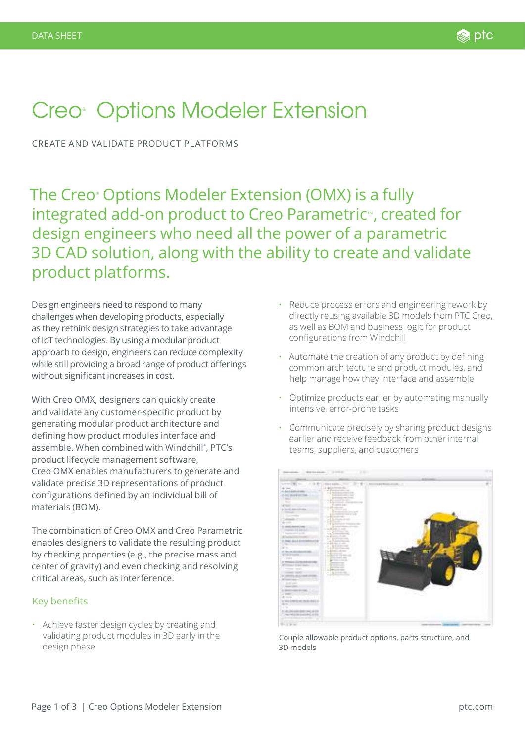# Creo<sup>®</sup> Options Modeler Extension

CREATE AND VALIDATE PRODUCT PLATFORMS

The Creo® Options Modeler Extension (OMX) is a fully integrated add-on product to Creo Parametric<sup>™</sup>, created for design engineers who need all the power of a parametric 3D CAD solution, along with the ability to create and validate product platforms.

Design engineers need to respond to many challenges when developing products, especially as they rethink design strategies to take advantage of IoT technologies. By using a modular product approach to design, engineers can reduce complexity while still providing a broad range of product offerings without significant increases in cost.

With Creo OMX, designers can quickly create and validate any customer-specific product by generating modular product architecture and defining how product modules interface and assemble. When combined with Windchill® , PTC's product lifecycle management software, Creo OMX enables manufacturers to generate and validate precise 3D representations of product configurations defined by an individual bill of materials (BOM).

The combination of Creo OMX and Creo Parametric enables designers to validate the resulting product by checking properties (e.g., the precise mass and center of gravity) and even checking and resolving critical areas, such as interference.

## Key benefits

• Achieve faster design cycles by creating and validating product modules in 3D early in the design phase

- Reduce process errors and engineering rework by directly reusing available 3D models from PTC Creo, as well as BOM and business logic for product configurations from Windchill
- Automate the creation of any product by defining common architecture and product modules, and help manage how they interface and assemble
- Optimize products earlier by automating manually intensive, error-prone tasks
- Communicate precisely by sharing product designs earlier and receive feedback from other internal teams, suppliers, and customers



Couple allowable product options, parts structure, and 3D models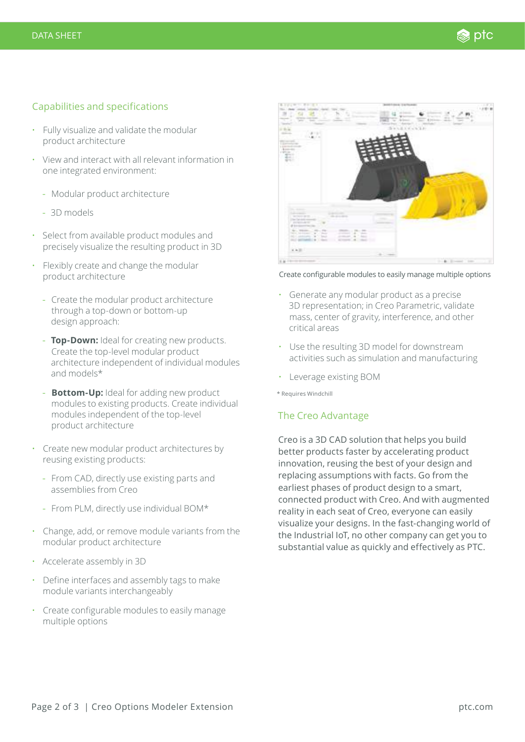### Capabilities and specifications

- Fully visualize and validate the modular product architecture
- View and interact with all relevant information in one integrated environment:
	- Modular product architecture
	- 3D models
- Select from available product modules and precisely visualize the resulting product in 3D
- Flexibly create and change the modular product architecture
	- Create the modular product architecture through a top-down or bottom-up design approach:
	- **Top-Down:** Ideal for creating new products. Create the top-level modular product architecture independent of individual modules and models\*
	- **Bottom-Up:** Ideal for adding new product modules to existing products. Create individual modules independent of the top-level product architecture
- Create new modular product architectures by reusing existing products:
	- From CAD, directly use existing parts and assemblies from Creo
	- From PLM, directly use individual BOM\*
- Change, add, or remove module variants from the modular product architecture
- Accelerate assembly in 3D
- Define interfaces and assembly tags to make module variants interchangeably
- Create configurable modules to easily manage multiple options



Create configurable modules to easily manage multiple options

- Generate any modular product as a precise 3D representation; in Creo Parametric, validate mass, center of gravity, interference, and other critical areas
- Use the resulting 3D model for downstream activities such as simulation and manufacturing
- Leverage existing BOM

\* Requires Windchill

#### The Creo Advantage

Creo is a 3D CAD solution that helps you build better products faster by accelerating product innovation, reusing the best of your design and replacing assumptions with facts. Go from the earliest phases of product design to a smart, connected product with Creo. And with augmented reality in each seat of Creo, everyone can easily visualize your designs. In the fast-changing world of the Industrial IoT, no other company can get you to substantial value as quickly and effectively as PTC.